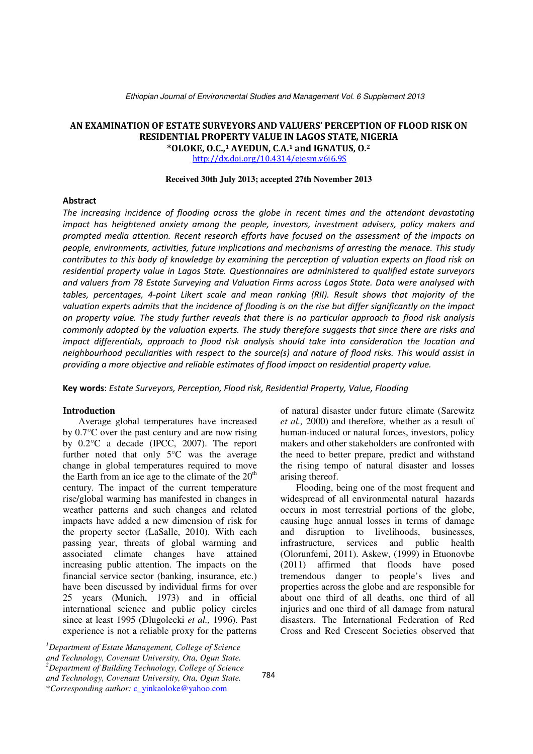Ethiopian Journal of Environmental Studies and Management Vol. 6 Supplement 2013

# AN EXAMINATION OF ESTATE SURVEYORS AND VALUERS' PERCEPTION OF FLOOD RISK ON RESIDENTIAL PROPERTY VALUE IN LAGOS STATE, NIGERIA  $*$ OLOKE, O.C., $1$  AYEDUN, C.A. $1$  and IGNATUS, O. $2$

http://dx.doi.org/10.4314/ejesm.v6i6.9S

#### **Received 30th July 2013; accepted 27th November 2013**

#### Abstract

The increasing incidence of flooding across the globe in recent times and the attendant devastating impact has heightened anxiety among the people, investors, investment advisers, policy makers and prompted media attention. Recent research efforts have focused on the assessment of the impacts on people, environments, activities, future implications and mechanisms of arresting the menace. This study contributes to this body of knowledge by examining the perception of valuation experts on flood risk on residential property value in Lagos State. Questionnaires are administered to qualified estate surveyors and valuers from 78 Estate Surveying and Valuation Firms across Lagos State. Data were analysed with tables, percentages, 4-point Likert scale and mean ranking (RII). Result shows that majority of the valuation experts admits that the incidence of flooding is on the rise but differ significantly on the impact on property value. The study further reveals that there is no particular approach to flood risk analysis commonly adopted by the valuation experts. The study therefore suggests that since there are risks and impact differentials, approach to flood risk analysis should take into consideration the location and neighbourhood peculiarities with respect to the source(s) and nature of flood risks. This would assist in providing a more objective and reliable estimates of flood impact on residential property value.

Key words: Estate Surveyors, Perception, Flood risk, Residential Property, Value, Flooding

#### **Introduction**

Average global temperatures have increased by 0.7°C over the past century and are now rising by 0.2°C a decade (IPCC, 2007). The report further noted that only 5°C was the average change in global temperatures required to move the Earth from an ice age to the climate of the  $20<sup>th</sup>$ century. The impact of the current temperature rise/global warming has manifested in changes in weather patterns and such changes and related impacts have added a new dimension of risk for the property sector (LaSalle, 2010). With each passing year, threats of global warming and associated climate changes have attained increasing public attention. The impacts on the financial service sector (banking, insurance, etc.) have been discussed by individual firms for over 25 years (Munich, 1973) and in official international science and public policy circles since at least 1995 (Dlugolecki *et al.,* 1996). Past experience is not a reliable proxy for the patterns

*<sup>1</sup>Department of Estate Management, College of Science and Technology, Covenant University, Ota, Ogun State*. *<sup>2</sup>Department of Building Technology, College of Science and Technology, Covenant University, Ota, Ogun State.* \**Corresponding author:* c\_yinkaoloke@yahoo.com

of natural disaster under future climate (Sarewitz *et al.,* 2000) and therefore, whether as a result of human-induced or natural forces, investors, policy makers and other stakeholders are confronted with the need to better prepare, predict and withstand the rising tempo of natural disaster and losses arising thereof.

Flooding, being one of the most frequent and widespread of all environmental natural hazards occurs in most terrestrial portions of the globe, causing huge annual losses in terms of damage and disruption to livelihoods, businesses, infrastructure, services and public health (Olorunfemi, 2011). Askew, (1999) in Etuonovbe (2011) affirmed that floods have posed tremendous danger to people's lives and properties across the globe and are responsible for about one third of all deaths, one third of all injuries and one third of all damage from natural disasters. The International Federation of Red Cross and Red Crescent Societies observed that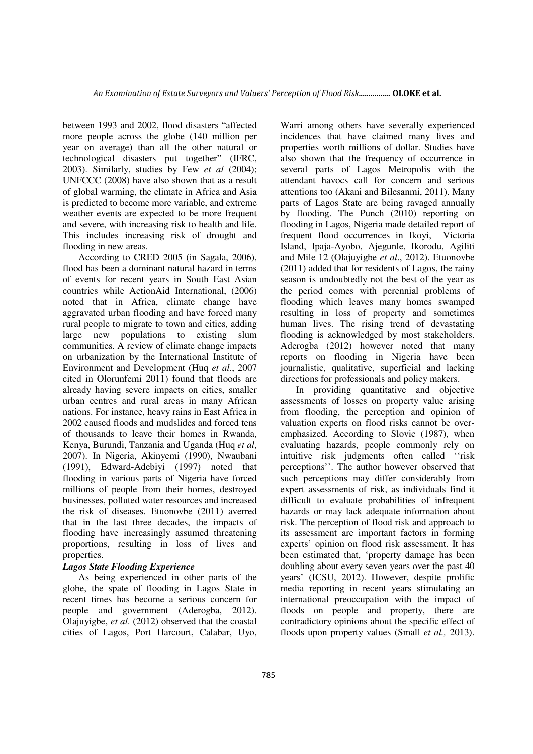between 1993 and 2002, flood disasters "affected more people across the globe (140 million per year on average) than all the other natural or technological disasters put together" (IFRC, 2003). Similarly, studies by Few *et al* (2004); UNFCCC (2008) have also shown that as a result of global warming, the climate in Africa and Asia is predicted to become more variable, and extreme weather events are expected to be more frequent and severe, with increasing risk to health and life. This includes increasing risk of drought and flooding in new areas.

According to CRED 2005 (in Sagala, 2006), flood has been a dominant natural hazard in terms of events for recent years in South East Asian countries while ActionAid International, (2006) noted that in Africa, climate change have aggravated urban flooding and have forced many rural people to migrate to town and cities, adding large new populations to existing slum communities. A review of climate change impacts on urbanization by the International Institute of Environment and Development (Huq *et al.*, 2007 cited in Olorunfemi 2011) found that floods are already having severe impacts on cities, smaller urban centres and rural areas in many African nations. For instance, heavy rains in East Africa in 2002 caused floods and mudslides and forced tens of thousands to leave their homes in Rwanda, Kenya, Burundi, Tanzania and Uganda (Huq *et al*, 2007). In Nigeria, Akinyemi (1990), Nwaubani (1991), Edward-Adebiyi (1997) noted that flooding in various parts of Nigeria have forced millions of people from their homes, destroyed businesses, polluted water resources and increased the risk of diseases. Etuonovbe (2011) averred that in the last three decades, the impacts of flooding have increasingly assumed threatening proportions, resulting in loss of lives and properties.

# *Lagos State Flooding Experience*

As being experienced in other parts of the globe, the spate of flooding in Lagos State in recent times has become a serious concern for people and government (Aderogba, 2012). Olajuyigbe, *et al*. (2012) observed that the coastal cities of Lagos, Port Harcourt, Calabar, Uyo,

Warri among others have severally experienced incidences that have claimed many lives and properties worth millions of dollar. Studies have also shown that the frequency of occurrence in several parts of Lagos Metropolis with the attendant havocs call for concern and serious attentions too (Akani and Bilesanmi, 2011). Many parts of Lagos State are being ravaged annually by flooding. The Punch (2010) reporting on flooding in Lagos, Nigeria made detailed report of frequent flood occurrences in Ikoyi, Victoria Island, Ipaja-Ayobo, Ajegunle, Ikorodu, Agiliti and Mile 12 (Olajuyigbe *et al*., 2012). Etuonovbe (2011) added that for residents of Lagos, the rainy season is undoubtedly not the best of the year as the period comes with perennial problems of flooding which leaves many homes swamped resulting in loss of property and sometimes human lives. The rising trend of devastating flooding is acknowledged by most stakeholders. Aderogba (2012) however noted that many reports on flooding in Nigeria have been journalistic, qualitative, superficial and lacking directions for professionals and policy makers.

In providing quantitative and objective assessments of losses on property value arising from flooding, the perception and opinion of valuation experts on flood risks cannot be overemphasized. According to Slovic (1987), when evaluating hazards, people commonly rely on intuitive risk judgments often called ''risk perceptions''. The author however observed that such perceptions may differ considerably from expert assessments of risk, as individuals find it difficult to evaluate probabilities of infrequent hazards or may lack adequate information about risk. The perception of flood risk and approach to its assessment are important factors in forming experts' opinion on flood risk assessment. It has been estimated that, 'property damage has been doubling about every seven years over the past 40 years' (ICSU, 2012). However, despite prolific media reporting in recent years stimulating an international preoccupation with the impact of floods on people and property, there are contradictory opinions about the specific effect of floods upon property values (Small *et al.,* 2013).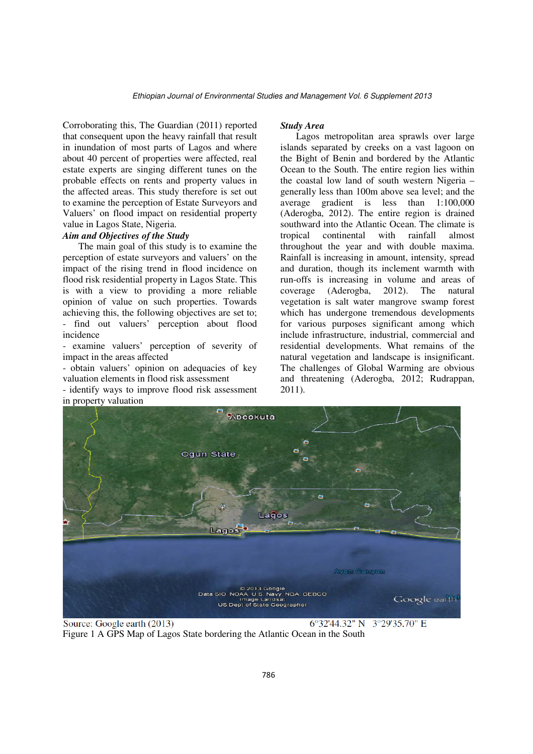Corroborating this, The Guardian (2011) reported that consequent upon the heavy rainfall that result in inundation of most parts of Lagos and where about 40 percent of properties were affected, real estate experts are singing different tunes on the probable effects on rents and property values in the affected areas. This study therefore is set out to examine the perception of Estate Surveyors and Valuers' on flood impact on residential property value in Lagos State, Nigeria.

# *Aim and Objectives of the Study*

The main goal of this study is to examine the perception of estate surveyors and valuers' on the impact of the rising trend in flood incidence on flood risk residential property in Lagos State. This is with a view to providing a more reliable opinion of value on such properties. Towards achieving this, the following objectives are set to; - find out valuers' perception about flood incidence

- examine valuers' perception of severity of impact in the areas affected

- obtain valuers' opinion on adequacies of key valuation elements in flood risk assessment

- identify ways to improve flood risk assessment in property valuation

#### *Study Area*

Lagos metropolitan area sprawls over large islands separated by creeks on a vast lagoon on the Bight of Benin and bordered by the Atlantic Ocean to the South. The entire region lies within the coastal low land of south western Nigeria – generally less than 100m above sea level; and the average gradient is less than 1:100,000 (Aderogba, 2012). The entire region is drained southward into the Atlantic Ocean. The climate is tropical continental with rainfall almost throughout the year and with double maxima. Rainfall is increasing in amount, intensity, spread and duration, though its inclement warmth with run-offs is increasing in volume and areas of coverage (Aderogba, 2012). The natural vegetation is salt water mangrove swamp forest which has undergone tremendous developments for various purposes significant among which include infrastructure, industrial, commercial and residential developments. What remains of the natural vegetation and landscape is insignificant. The challenges of Global Warming are obvious and threatening (Aderogba, 2012; Rudrappan, 2011).



Source: Google earth (2013)

6°32'44.32" N 3°29'35.70" E

Figure 1 A GPS Map of Lagos State bordering the Atlantic Ocean in the South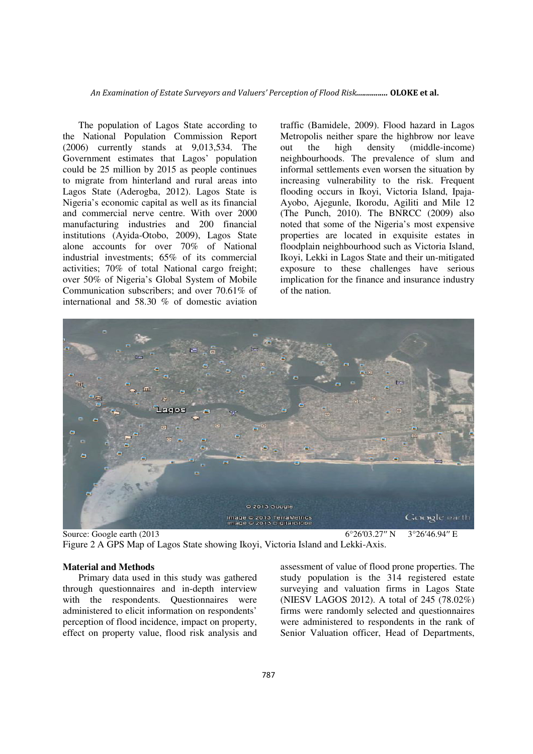An Examination of Estate Surveyors and Valuers' Perception of Flood Risk................ OLOKE et al.

The population of Lagos State according to the National Population Commission Report (2006) currently stands at 9,013,534. The Government estimates that Lagos' population could be 25 million by 2015 as people continues to migrate from hinterland and rural areas into Lagos State (Aderogba, 2012). Lagos State is Nigeria's economic capital as well as its financial and commercial nerve centre. With over 2000 manufacturing industries and 200 financial institutions (Ayida-Otobo, 2009), Lagos State alone accounts for over 70% of National industrial investments; 65% of its commercial activities; 70% of total National cargo freight; over 50% of Nigeria's Global System of Mobile Communication subscribers; and over 70.61% of international and 58.30 % of domestic aviation traffic (Bamidele, 2009). Flood hazard in Lagos Metropolis neither spare the highbrow nor leave out the high density (middle-income) neighbourhoods. The prevalence of slum and informal settlements even worsen the situation by increasing vulnerability to the risk. Frequent flooding occurs in Ikoyi, Victoria Island, Ipaja-Ayobo, Ajegunle, Ikorodu, Agiliti and Mile 12 (The Punch, 2010). The BNRCC (2009) also noted that some of the Nigeria's most expensive properties are located in exquisite estates in floodplain neighbourhood such as Victoria Island, Ikoyi, Lekki in Lagos State and their un-mitigated exposure to these challenges have serious implication for the finance and insurance industry of the nation.



Source: Google earth (2013 6°26′03.27′′ N 3°26′46.94′′ E Figure 2 A GPS Map of Lagos State showing Ikoyi, Victoria Island and Lekki-Axis.

#### **Material and Methods**

Primary data used in this study was gathered through questionnaires and in-depth interview with the respondents. Questionnaires were administered to elicit information on respondents' perception of flood incidence, impact on property, effect on property value, flood risk analysis and

assessment of value of flood prone properties. The study population is the 314 registered estate surveying and valuation firms in Lagos State (NIESV LAGOS 2012). A total of 245 (78.02%) firms were randomly selected and questionnaires were administered to respondents in the rank of Senior Valuation officer. Head of Departments,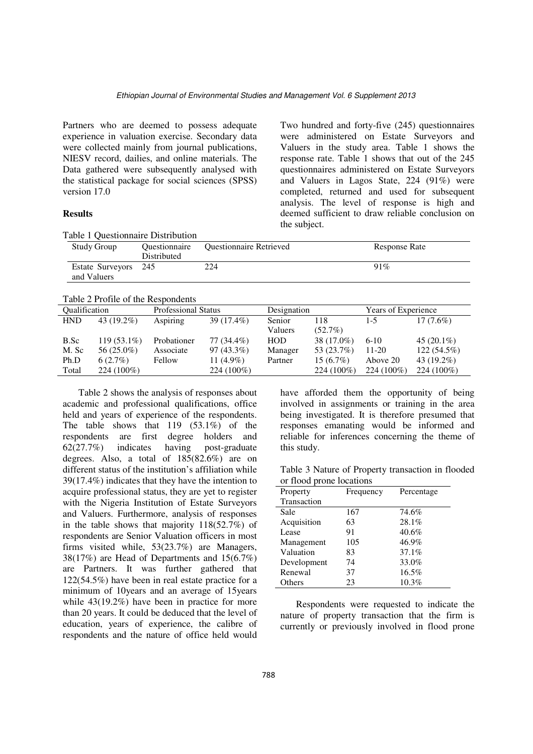Partners who are deemed to possess adequate experience in valuation exercise. Secondary data were collected mainly from journal publications, NIESV record, dailies, and online materials. The Data gathered were subsequently analysed with the statistical package for social sciences (SPSS) version 17.0

## **Results**

Two hundred and forty-five (245) questionnaires were administered on Estate Surveyors and Valuers in the study area. Table 1 shows the response rate. Table 1 shows that out of the 245 questionnaires administered on Estate Surveyors and Valuers in Lagos State, 224 (91%) were completed, returned and used for subsequent analysis. The level of response is high and deemed sufficient to draw reliable conclusion on the subject.

| I able 1 Questionnaire Distribution |                                     |                                |               |  |  |
|-------------------------------------|-------------------------------------|--------------------------------|---------------|--|--|
| <b>Study Group</b>                  | <b>Ouestionnaire</b><br>Distributed | <b>Ouestionnaire Retrieved</b> | Response Rate |  |  |
| Estate Surveyors 245                |                                     | 224                            | 91%           |  |  |
| and Valuers                         |                                     |                                |               |  |  |
|                                     |                                     |                                |               |  |  |

#### Table 2 Profile of the Respondents

 $T$ Table 1  $\alpha$  distributionnaire Distribution

| <b>Oualification</b> |               | <b>Professional Status</b> |              | Designation |             | Years of Experience |               |
|----------------------|---------------|----------------------------|--------------|-------------|-------------|---------------------|---------------|
| <b>HND</b>           | 43 $(19.2\%)$ | Aspiring                   | 39 (17.4%)   | Senior      | 118         | $1-5$               | $17(7.6\%)$   |
|                      |               |                            |              | Valuers     | (52.7%)     |                     |               |
| B.Sc                 | $119(53.1\%)$ | Probationer                | 77 (34.4%)   | HOD         | 38 (17.0%)  | $6 - 10$            | $45(20.1\%)$  |
| M. Sc                | 56 (25.0%)    | Associate                  | $97(43.3\%)$ | Manager     | 53 (23.7%)  | $11-20$             | $122(54.5\%)$ |
| Ph.D                 | 6(2.7%)       | Fellow                     | 11 $(4.9\%)$ | Partner     | $15(6.7\%)$ | Above 20            | 43 $(19.2\%)$ |
| Total                | 224 (100%)    |                            | 224 (100%)   |             | 224 (100%)  | 224 (100%)          | $224(100\%)$  |

Table 2 shows the analysis of responses about academic and professional qualifications, office held and years of experience of the respondents. The table shows that 119 (53.1%) of the respondents are first degree holders and 62(27.7%) indicates having post-graduate degrees. Also, a total of 185(82.6%) are on different status of the institution's affiliation while 39(17.4%) indicates that they have the intention to acquire professional status, they are yet to register with the Nigeria Institution of Estate Surveyors and Valuers. Furthermore, analysis of responses in the table shows that majority 118(52.7%) of respondents are Senior Valuation officers in most firms visited while, 53(23.7%) are Managers, 38(17%) are Head of Departments and 15(6.7%) are Partners. It was further gathered that 122(54.5%) have been in real estate practice for a minimum of 10years and an average of 15years while  $43(19.2\%)$  have been in practice for more than 20 years. It could be deduced that the level of education, years of experience, the calibre of respondents and the nature of office held would

have afforded them the opportunity of being involved in assignments or training in the area being investigated. It is therefore presumed that responses emanating would be informed and reliable for inferences concerning the theme of this study.

Table 3 Nature of Property transaction in flooded or flood prone locations

| Property    | Frequency | Percentage |  |  |  |  |
|-------------|-----------|------------|--|--|--|--|
| Transaction |           |            |  |  |  |  |
| Sale        | 167       | 74.6%      |  |  |  |  |
| Acquisition | 63        | 28.1%      |  |  |  |  |
| Lease       | 91        | 40.6%      |  |  |  |  |
| Management  | 105       | 46.9%      |  |  |  |  |
| Valuation   | 83        | 37.1%      |  |  |  |  |
| Development | 74        | 33.0%      |  |  |  |  |
| Renewal     | 37        | 16.5%      |  |  |  |  |
| Others      | 23        | $10.3\%$   |  |  |  |  |

Respondents were requested to indicate the nature of property transaction that the firm is currently or previously involved in flood prone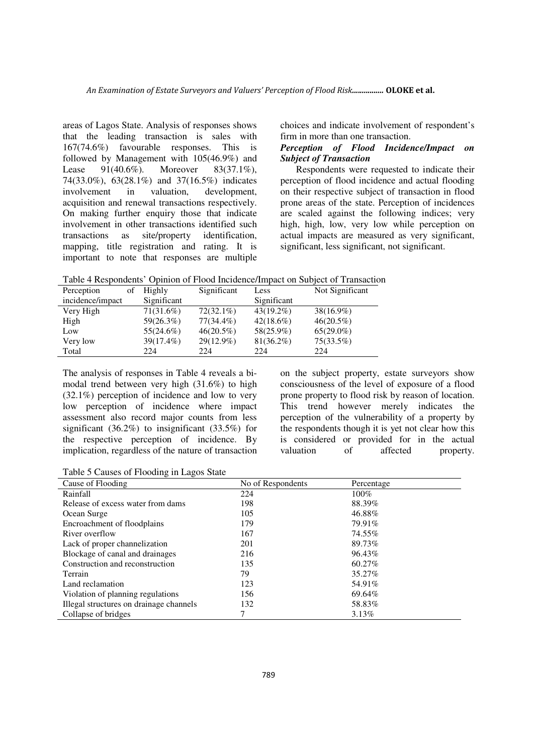areas of Lagos State. Analysis of responses shows that the leading transaction is sales with 167(74.6%) favourable responses. This is followed by Management with 105(46.9%) and Lease 91(40.6%). Moreover 83(37.1%), 74(33.0%), 63(28.1%) and 37(16.5%) indicates involvement in valuation, development, acquisition and renewal transactions respectively. On making further enquiry those that indicate involvement in other transactions identified such transactions as site/property identification, mapping, title registration and rating. It is important to note that responses are multiple

choices and indicate involvement of respondent's firm in more than one transaction.

# *Perception of Flood Incidence/Impact on Subject of Transaction*

Respondents were requested to indicate their perception of flood incidence and actual flooding on their respective subject of transaction in flood prone areas of the state. Perception of incidences are scaled against the following indices; very high, high, low, very low while perception on actual impacts are measured as very significant, significant, less significant, not significant.

Table 4 Respondents' Opinion of Flood Incidence/Impact on Subject of Transaction

| Perception<br>οf | Highly       | Significant  | Less         | Not Significant |
|------------------|--------------|--------------|--------------|-----------------|
| incidence/impact | Significant  |              | Significant  |                 |
| Very High        | $71(31.6\%)$ | $72(32.1\%)$ | $43(19.2\%)$ | $38(16.9\%)$    |
| High             | 59(26.3%)    | 77(34.4%)    | $42(18.6\%)$ | $46(20.5\%)$    |
| Low              | 55(24.6%)    | $46(20.5\%)$ | 58(25.9%)    | $65(29.0\%)$    |
| Very low         | 39(17.4%)    | $29(12.9\%)$ | $81(36.2\%)$ | 75(33.5%)       |
| Total            | 224          | 224          | 224          | 224             |

The analysis of responses in Table 4 reveals a bimodal trend between very high (31.6%) to high (32.1%) perception of incidence and low to very low perception of incidence where impact assessment also record major counts from less significant (36.2%) to insignificant (33.5%) for the respective perception of incidence. By implication, regardless of the nature of transaction on the subject property, estate surveyors show consciousness of the level of exposure of a flood prone property to flood risk by reason of location. This trend however merely indicates the perception of the vulnerability of a property by the respondents though it is yet not clear how this is considered or provided for in the actual valuation of affected property.

Table 5 Causes of Flooding in Lagos State

| Cause of Flooding                       | No of Respondents | Percentage |
|-----------------------------------------|-------------------|------------|
| Rainfall                                | 224               | $100\%$    |
| Release of excess water from dams       | 198               | 88.39%     |
| Ocean Surge                             | 105               | 46.88%     |
| Encroachment of floodplains             | 179               | 79.91%     |
| River overflow                          | 167               | 74.55%     |
| Lack of proper channelization           | 201               | 89.73%     |
| Blockage of canal and drainages         | 216               | 96.43%     |
| Construction and reconstruction         | 135               | 60.27%     |
| Terrain                                 | 79                | 35.27%     |
| Land reclamation                        | 123               | 54.91%     |
| Violation of planning regulations       | 156               | 69.64%     |
| Illegal structures on drainage channels | 132               | 58.83%     |
| Collapse of bridges                     |                   | $3.13\%$   |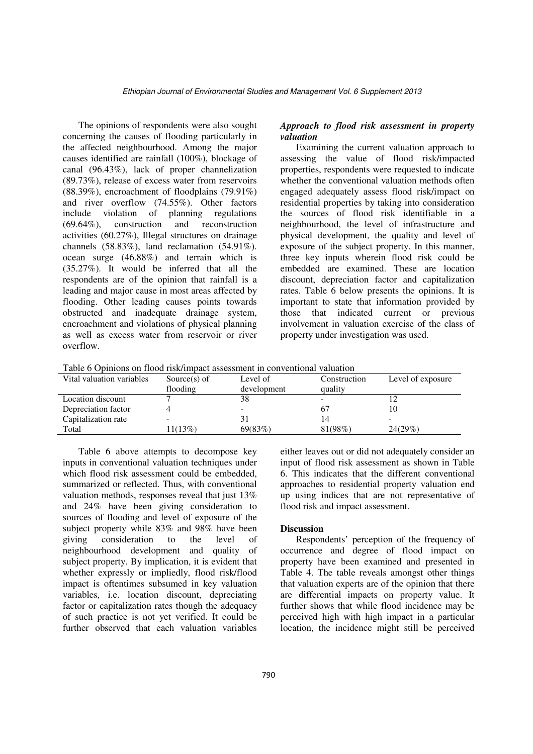The opinions of respondents were also sought concerning the causes of flooding particularly in the affected neighbourhood. Among the major causes identified are rainfall (100%), blockage of canal (96.43%), lack of proper channelization (89.73%), release of excess water from reservoirs (88.39%), encroachment of floodplains (79.91%) and river overflow (74.55%). Other factors include violation of planning regulations (69.64%), construction and reconstruction activities (60.27%), Illegal structures on drainage channels (58.83%), land reclamation (54.91%). ocean surge (46.88%) and terrain which is (35.27%). It would be inferred that all the respondents are of the opinion that rainfall is a leading and major cause in most areas affected by flooding. Other leading causes points towards obstructed and inadequate drainage system, encroachment and violations of physical planning as well as excess water from reservoir or river overflow.

## *Approach to flood risk assessment in property valuation*

Examining the current valuation approach to assessing the value of flood risk/impacted properties, respondents were requested to indicate whether the conventional valuation methods often engaged adequately assess flood risk/impact on residential properties by taking into consideration the sources of flood risk identifiable in a neighbourhood, the level of infrastructure and physical development, the quality and level of exposure of the subject property. In this manner, three key inputs wherein flood risk could be embedded are examined. These are location discount, depreciation factor and capitalization rates. Table 6 below presents the opinions. It is important to state that information provided by those that indicated current or previous involvement in valuation exercise of the class of property under investigation was used.

|  |  | Table 6 Opinions on flood risk/impact assessment in conventional valuation |  |
|--|--|----------------------------------------------------------------------------|--|
|  |  |                                                                            |  |

| Vital valuation variables | Source $(s)$ of | Level of    | Construction | Level of exposure |
|---------------------------|-----------------|-------------|--------------|-------------------|
|                           | flooding        | development | quality      |                   |
| Location discount         |                 | 38          |              |                   |
| Depreciation factor       |                 |             |              | 10                |
| Capitalization rate       |                 | 31          |              |                   |
| Total                     | 1(13%)          | 69(83%)     | 81(98%)      | 24(29%)           |

Table 6 above attempts to decompose key inputs in conventional valuation techniques under which flood risk assessment could be embedded, summarized or reflected. Thus, with conventional valuation methods, responses reveal that just 13% and 24% have been giving consideration to sources of flooding and level of exposure of the subject property while 83% and 98% have been giving consideration to the level of neighbourhood development and quality of subject property. By implication, it is evident that whether expressly or impliedly, flood risk/flood impact is oftentimes subsumed in key valuation variables, i.e. location discount, depreciating factor or capitalization rates though the adequacy of such practice is not yet verified. It could be further observed that each valuation variables

either leaves out or did not adequately consider an input of flood risk assessment as shown in Table 6. This indicates that the different conventional approaches to residential property valuation end up using indices that are not representative of flood risk and impact assessment.

### **Discussion**

Respondents' perception of the frequency of occurrence and degree of flood impact on property have been examined and presented in Table 4. The table reveals amongst other things that valuation experts are of the opinion that there are differential impacts on property value. It further shows that while flood incidence may be perceived high with high impact in a particular location, the incidence might still be perceived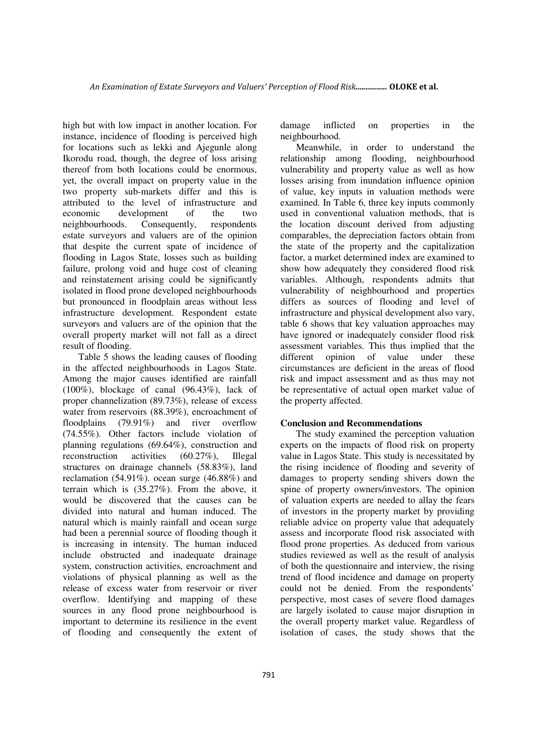high but with low impact in another location. For instance, incidence of flooding is perceived high for locations such as lekki and Ajegunle along Ikorodu road, though, the degree of loss arising thereof from both locations could be enormous, yet, the overall impact on property value in the two property sub-markets differ and this is attributed to the level of infrastructure and economic development of the two neighbourhoods. Consequently, respondents estate surveyors and valuers are of the opinion that despite the current spate of incidence of flooding in Lagos State, losses such as building failure, prolong void and huge cost of cleaning and reinstatement arising could be significantly isolated in flood prone developed neighbourhoods but pronounced in floodplain areas without less infrastructure development. Respondent estate surveyors and valuers are of the opinion that the overall property market will not fall as a direct result of flooding.

Table 5 shows the leading causes of flooding in the affected neighbourhoods in Lagos State. Among the major causes identified are rainfall (100%), blockage of canal (96.43%), lack of proper channelization (89.73%), release of excess water from reservoirs (88.39%), encroachment of floodplains (79.91%) and river overflow (74.55%). Other factors include violation of planning regulations (69.64%), construction and reconstruction activities (60.27%), Illegal structures on drainage channels (58.83%), land reclamation (54.91%). ocean surge (46.88%) and terrain which is (35.27%). From the above, it would be discovered that the causes can be divided into natural and human induced. The natural which is mainly rainfall and ocean surge had been a perennial source of flooding though it is increasing in intensity. The human induced include obstructed and inadequate drainage system, construction activities, encroachment and violations of physical planning as well as the release of excess water from reservoir or river overflow. Identifying and mapping of these sources in any flood prone neighbourhood is important to determine its resilience in the event of flooding and consequently the extent of

damage inflicted on properties in the neighbourhood.

Meanwhile, in order to understand the relationship among flooding, neighbourhood vulnerability and property value as well as how losses arising from inundation influence opinion of value, key inputs in valuation methods were examined. In Table 6, three key inputs commonly used in conventional valuation methods, that is the location discount derived from adjusting comparables, the depreciation factors obtain from the state of the property and the capitalization factor, a market determined index are examined to show how adequately they considered flood risk variables. Although, respondents admits that vulnerability of neighbourhood and properties differs as sources of flooding and level of infrastructure and physical development also vary, table 6 shows that key valuation approaches may have ignored or inadequately consider flood risk assessment variables. This thus implied that the different opinion of value under these circumstances are deficient in the areas of flood risk and impact assessment and as thus may not be representative of actual open market value of the property affected.

## **Conclusion and Recommendations**

The study examined the perception valuation experts on the impacts of flood risk on property value in Lagos State. This study is necessitated by the rising incidence of flooding and severity of damages to property sending shivers down the spine of property owners/investors. The opinion of valuation experts are needed to allay the fears of investors in the property market by providing reliable advice on property value that adequately assess and incorporate flood risk associated with flood prone properties. As deduced from various studies reviewed as well as the result of analysis of both the questionnaire and interview, the rising trend of flood incidence and damage on property could not be denied. From the respondents' perspective, most cases of severe flood damages are largely isolated to cause major disruption in the overall property market value. Regardless of isolation of cases, the study shows that the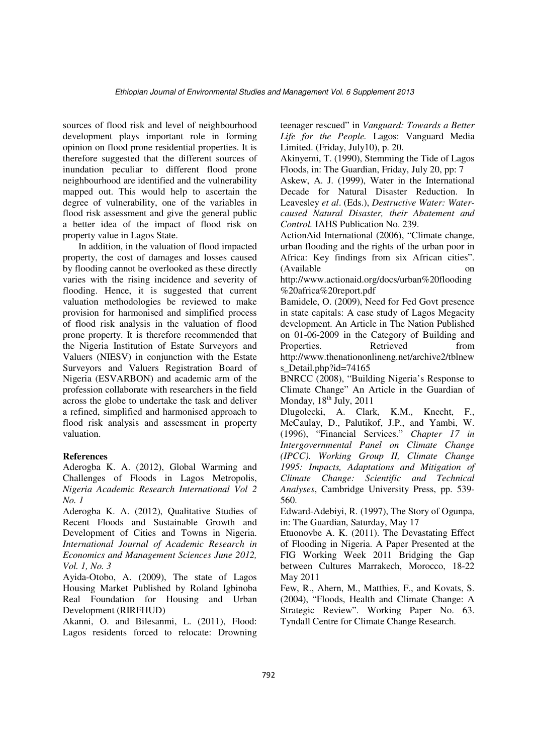sources of flood risk and level of neighbourhood development plays important role in forming opinion on flood prone residential properties. It is therefore suggested that the different sources of inundation peculiar to different flood prone neighbourhood are identified and the vulnerability mapped out. This would help to ascertain the degree of vulnerability, one of the variables in flood risk assessment and give the general public a better idea of the impact of flood risk on property value in Lagos State.

In addition, in the valuation of flood impacted property, the cost of damages and losses caused by flooding cannot be overlooked as these directly varies with the rising incidence and severity of flooding. Hence, it is suggested that current valuation methodologies be reviewed to make provision for harmonised and simplified process of flood risk analysis in the valuation of flood prone property. It is therefore recommended that the Nigeria Institution of Estate Surveyors and Valuers (NIESV) in conjunction with the Estate Surveyors and Valuers Registration Board of Nigeria (ESVARBON) and academic arm of the profession collaborate with researchers in the field across the globe to undertake the task and deliver a refined, simplified and harmonised approach to flood risk analysis and assessment in property valuation.

### **References**

Aderogba K. A. (2012), Global Warming and Challenges of Floods in Lagos Metropolis, *Nigeria Academic Research International Vol 2 No. 1* 

Aderogba K. A. (2012), Qualitative Studies of Recent Floods and Sustainable Growth and Development of Cities and Towns in Nigeria. *International Journal of Academic Research in Economics and Management Sciences June 2012, Vol. 1, No. 3*

Ayida-Otobo, A. (2009), The state of Lagos Housing Market Published by Roland Igbinoba Real Foundation for Housing and Urban Development (RIRFHUD)

Akanni, O. and Bilesanmi, L. (2011), Flood: Lagos residents forced to relocate: Drowning teenager rescued" in *Vanguard: Towards a Better Life for the People.* Lagos: Vanguard Media Limited. (Friday, July10), p. 20.

Akinyemi, T. (1990), Stemming the Tide of Lagos Floods, in: The Guardian, Friday, July 20, pp: 7

Askew, A. J. (1999), Water in the International Decade for Natural Disaster Reduction. In Leavesley *et al*. (Eds.), *Destructive Water: Watercaused Natural Disaster, their Abatement and Control.* IAHS Publication No. 239.

ActionAid International (2006), "Climate change, urban flooding and the rights of the urban poor in Africa: Key findings from six African cities". (Available on

http://www.actionaid.org/docs/urban%20flooding %20africa%20report.pdf

Bamidele, O. (2009), Need for Fed Govt presence in state capitals: A case study of Lagos Megacity development. An Article in The Nation Published on 01-06-2009 in the Category of Building and Properties. Retrieved from http://www.thenationonlineng.net/archive2/tblnew s Detail.php?id=74165

BNRCC (2008), "Building Nigeria's Response to Climate Change" An Article in the Guardian of Monday,  $18<sup>th</sup>$  July,  $2011$ 

Dlugolecki, A. Clark, K.M., Knecht, F., McCaulay, D., Palutikof, J.P., and Yambi, W. (1996), "Financial Services." *Chapter 17 in Intergovernmental Panel on Climate Change (IPCC). Working Group II, Climate Change 1995: Impacts, Adaptations and Mitigation of Climate Change: Scientific and Technical Analyses*, Cambridge University Press, pp. 539- 560.

Edward-Adebiyi, R. (1997), The Story of Ogunpa, in: The Guardian, Saturday, May 17

Etuonovbe A. K. (2011). The Devastating Effect of Flooding in Nigeria. A Paper Presented at the FIG Working Week 2011 Bridging the Gap between Cultures Marrakech, Morocco, 18-22 May 2011

Few, R., Ahern, M., Matthies, F., and Kovats, S. (2004), "Floods, Health and Climate Change: A Strategic Review". Working Paper No. 63. Tyndall Centre for Climate Change Research.